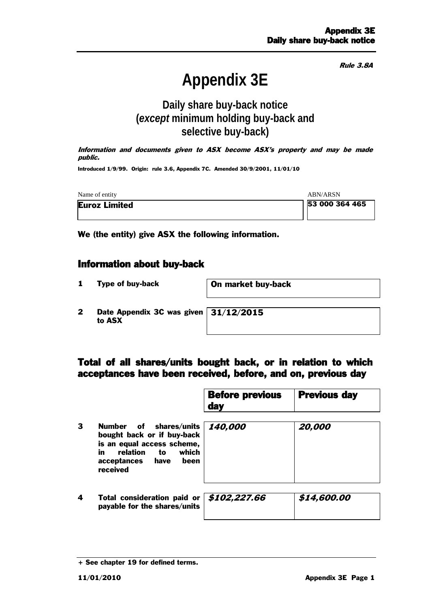Rule 3.8A

# **Appendix 3E**

### **Daily share buy-back notice (***except* **minimum holding buy-back and selective buy-back)**

Information and documents given to ASX become ASX's property and may be made public.

Introduced 1/9/99. Origin: rule 3.6, Appendix 7C. Amended 30/9/2001, 11/01/10

| Name of entity       | <b>ABN/ARSN</b> |
|----------------------|-----------------|
| <b>Euroz Limited</b> | 53 000 364 465  |

We (the entity) give ASX the following information.

#### Information about buy-back

- 1 Type of buy-back **On market buy-back**
- 2 Date Appendix 3C was given 31/12/2015 to ASX

#### Total of all shares/units bought back, or in relation to which acceptances have been received, before, and on, previous day

|   |                                                                                                                                                              | <b>Before previous</b><br>day | <b>Previous day</b> |
|---|--------------------------------------------------------------------------------------------------------------------------------------------------------------|-------------------------------|---------------------|
| 3 | Number of shares/units<br>bought back or if buy-back<br>is an equal access scheme,<br>which<br>relation<br>in.<br>to<br>acceptances have<br>been<br>received | 140,000                       | 20,000              |
| 4 | Total consideration paid or $\frac{4}{5}102,227.66$<br>payable for the shares/units                                                                          |                               | \$14,600.00         |

<sup>+</sup> See chapter 19 for defined terms.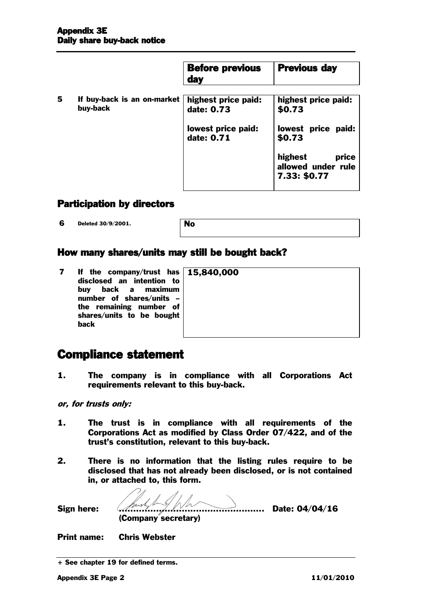|   |                                         | <b>Before previous</b><br><b>day</b> | <b>Previous day</b>                                    |
|---|-----------------------------------------|--------------------------------------|--------------------------------------------------------|
| 5 | If buy-back is an on-market<br>buy-back | highest price paid:<br>date: 0.73    | highest price paid:<br>\$0.73                          |
|   |                                         | lowest price paid:<br>date: 0.71     | lowest price paid:<br>\$0.73                           |
|   |                                         |                                      | highest<br>price<br>allowed under rule<br>7.33: \$0.77 |

#### Participation by directors

**6** Deleted 30/9/2001.

| .4O |
|-----|
|     |

#### How many shares/units may still be bought back?

7 If the company/trust has disclosed an intention to buy back a maximum number of shares/units – the remaining number of shares/units to be bought back

15,840,000

## Compliance statement

- 1. The company is in compliance with all Corporations Act requirements relevant to this buy-back.
- or, for trusts only:
- 1. The trust is in compliance with all requirements of the Corporations Act as modified by Class Order 07/422, and of the trust's constitution, relevant to this buy-back.
- 2. There is no information that the listing rules require to be disclosed that has not already been disclosed, or is not contained in, or attached to, this form.

Sign here: ................................................... Date: 04/04/16 (Company secretary)

Print name: Chris Webster

<sup>+</sup> See chapter 19 for defined terms.